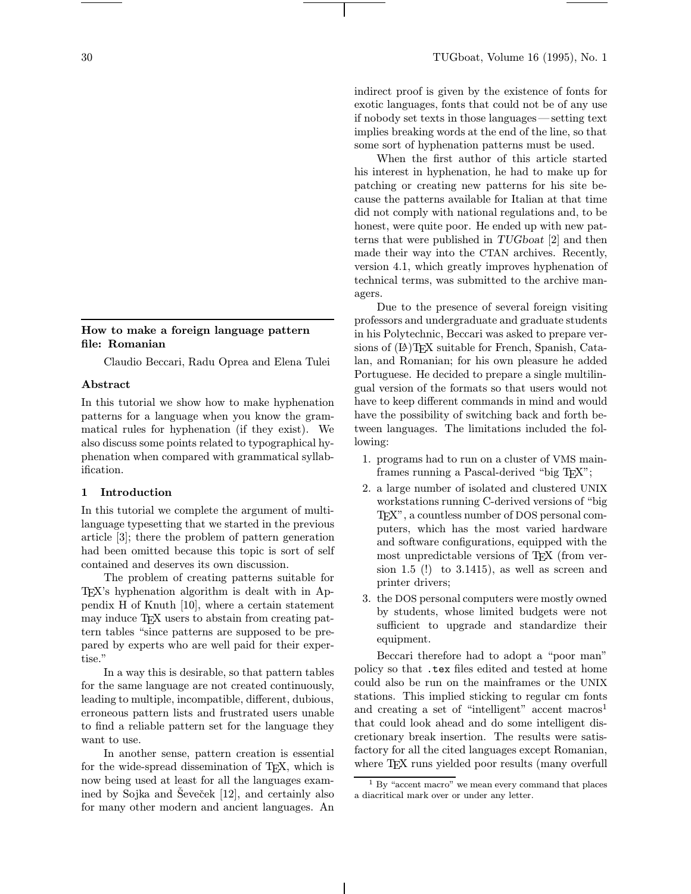# How to make a foreign language pattern file: Romanian

Claudio Beccari, Radu Oprea and Elena Tulei

#### Abstract

In this tutorial we show how to make hyphenation patterns for a language when you know the grammatical rules for hyphenation (if they exist). We also discuss some points related to typographical hyphenation when compared with grammatical syllabification.

### 1 Introduction

In this tutorial we complete the argument of multilanguage typesetting that we started in the previous article [3]; there the problem of pattern generation had been omitted because this topic is sort of self contained and deserves its own discussion.

The problem of creating patterns suitable for TEX's hyphenation algorithm is dealt with in Appendix H of Knuth [10], where a certain statement may induce TEX users to abstain from creating pattern tables "since patterns are supposed to be prepared by experts who are well paid for their expertise."

In a way this is desirable, so that pattern tables for the same language are not created continuously, leading to multiple, incompatible, different, dubious, erroneous pattern lists and frustrated users unable to find a reliable pattern set for the language they want to use.

In another sense, pattern creation is essential for the wide-spread dissemination of T<sub>E</sub>X, which is now being used at least for all the languages examined by Sojka and Ševeček  $[12]$ , and certainly also for many other modern and ancient languages. An indirect proof is given by the existence of fonts for exotic languages, fonts that could not be of any use if nobody set texts in those languages—setting text implies breaking words at the end of the line, so that some sort of hyphenation patterns must be used.

When the first author of this article started his interest in hyphenation, he had to make up for patching or creating new patterns for his site because the patterns available for Italian at that time did not comply with national regulations and, to be honest, were quite poor. He ended up with new patterns that were published in TUGboat [2] and then made their way into the CTAN archives. Recently, version 4.1, which greatly improves hyphenation of technical terms, was submitted to the archive managers.

Due to the presence of several foreign visiting professors and undergraduate and graduate students in his Polytechnic, Beccari was asked to prepare versions of  $(E)$ T<sub>E</sub>X suitable for French, Spanish, Catalan, and Romanian; for his own pleasure he added Portuguese. He decided to prepare a single multilingual version of the formats so that users would not have to keep different commands in mind and would have the possibility of switching back and forth between languages. The limitations included the following:

- 1. programs had to run on a cluster of VMS mainframes running a Pascal-derived "big TFX";
- 2. a large number of isolated and clustered UNIX workstations running C-derived versions of "big TEX", a countless number of DOS personal computers, which has the most varied hardware and software configurations, equipped with the most unpredictable versions of T<sub>EX</sub> (from version 1.5  $(!)$  to 3.1415), as well as screen and printer drivers;
- 3. the DOS personal computers were mostly owned by students, whose limited budgets were not sufficient to upgrade and standardize their equipment.

Beccari therefore had to adopt a "poor man" policy so that .tex files edited and tested at home could also be run on the mainframes or the UNIX stations. This implied sticking to regular cm fonts and creating a set of "intelligent" accent macros<sup>1</sup> that could look ahead and do some intelligent discretionary break insertion. The results were satisfactory for all the cited languages except Romanian, where T<sub>EX</sub> runs yielded poor results (many overfull

 $1$  By "accent macro" we mean every command that places a diacritical mark over or under any letter.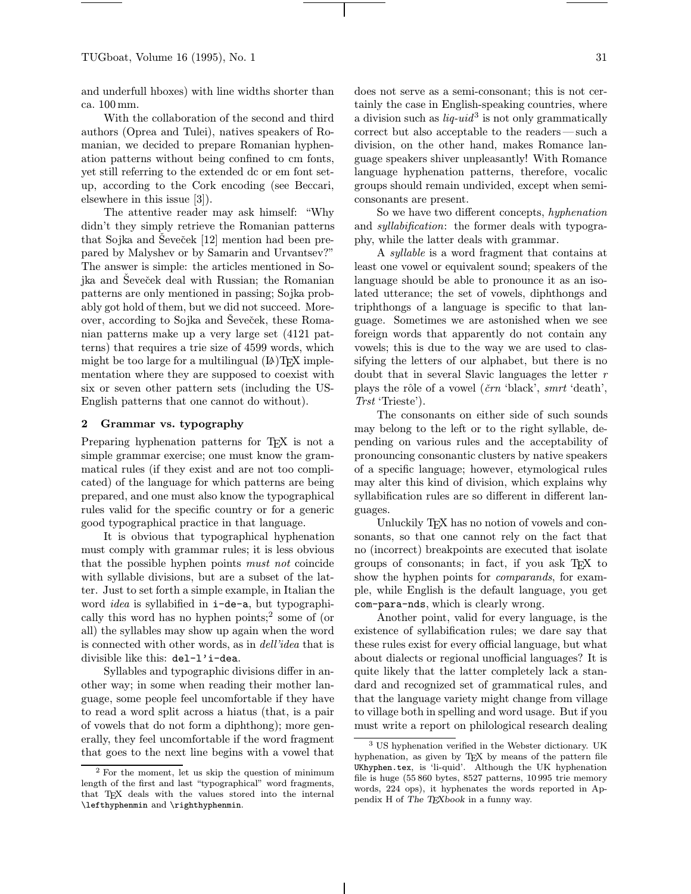and underfull hboxes) with line widths shorter than ca. 100mm.

With the collaboration of the second and third authors (Oprea and Tulei), natives speakers of Romanian, we decided to prepare Romanian hyphenation patterns without being confined to cm fonts, yet still referring to the extended dc or em font setup, according to the Cork encoding (see Beccari, elsewhere in this issue [3]).

The attentive reader may ask himself: "Why didn't they simply retrieve the Romanian patterns that Sojka and Ševeček  $[12]$  mention had been prepared by Malyshev or by Samarin and Urvantsev?" The answer is simple: the articles mentioned in Sojka and Ševeček deal with Russian; the Romanian patterns are only mentioned in passing; Sojka probably got hold of them, but we did not succeed. Moreover, according to Sojka and Seveček, these Romanian patterns make up a very large set (4121 patterns) that requires a trie size of 4599 words, which might be too large for a multilingual  $(E)$ TFX implementation where they are supposed to coexist with six or seven other pattern sets (including the US-English patterns that one cannot do without).

### 2 Grammar vs. typography

Preparing hyphenation patterns for T<sub>EX</sub> is not a simple grammar exercise; one must know the grammatical rules (if they exist and are not too complicated) of the language for which patterns are being prepared, and one must also know the typographical rules valid for the specific country or for a generic good typographical practice in that language.

It is obvious that typographical hyphenation must comply with grammar rules; it is less obvious that the possible hyphen points must not coincide with syllable divisions, but are a subset of the latter. Just to set forth a simple example, in Italian the word idea is syllabified in i-de-a, but typographically this word has no hyphen points;<sup>2</sup> some of (or all) the syllables may show up again when the word is connected with other words, as in dell'idea that is divisible like this: del-l'i-dea.

Syllables and typographic divisions differ in another way; in some when reading their mother language, some people feel uncomfortable if they have to read a word split across a hiatus (that, is a pair of vowels that do not form a diphthong); more generally, they feel uncomfortable if the word fragment that goes to the next line begins with a vowel that does not serve as a semi-consonant; this is not certainly the case in English-speaking countries, where a division such as  $liq$ -uid<sup>3</sup> is not only grammatically correct but also acceptable to the readers—such a division, on the other hand, makes Romance language speakers shiver unpleasantly! With Romance language hyphenation patterns, therefore, vocalic groups should remain undivided, except when semiconsonants are present.

So we have two different concepts, hyphenation and *syllabification*: the former deals with typography, while the latter deals with grammar.

A syllable is a word fragment that contains at least one vowel or equivalent sound; speakers of the language should be able to pronounce it as an isolated utterance; the set of vowels, diphthongs and triphthongs of a language is specific to that language. Sometimes we are astonished when we see foreign words that apparently do not contain any vowels; this is due to the way we are used to classifying the letters of our alphabet, but there is no doubt that in several Slavic languages the letter r plays the rôle of a vowel ( $\check{c}rn$  'black', smrt 'death', Trst 'Trieste').

The consonants on either side of such sounds may belong to the left or to the right syllable, depending on various rules and the acceptability of pronouncing consonantic clusters by native speakers of a specific language; however, etymological rules may alter this kind of division, which explains why syllabification rules are so different in different languages.

Unluckily T<sub>E</sub>X has no notion of vowels and consonants, so that one cannot rely on the fact that no (incorrect) breakpoints are executed that isolate groups of consonants; in fact, if you ask TEX to show the hyphen points for *comparands*, for example, while English is the default language, you get com-para-nds, which is clearly wrong.

Another point, valid for every language, is the existence of syllabification rules; we dare say that these rules exist for every official language, but what about dialects or regional unofficial languages? It is quite likely that the latter completely lack a standard and recognized set of grammatical rules, and that the language variety might change from village to village both in spelling and word usage. But if you must write a report on philological research dealing

<sup>2</sup> For the moment, let us skip the question of minimum length of the first and last "typographical" word fragments, that TEX deals with the values stored into the internal \lefthyphenmin and \righthyphenmin.

US hyphenation verified in the Webster dictionary. UK hyphenation, as given by TEX by means of the pattern file UKhyphen.tex, is 'li-quid'. Although the UK hyphenation file is huge (55 860 bytes, 8527 patterns, 10 995 trie memory words, 224 ops), it hyphenates the words reported in Appendix H of The TEXbook in a funny way.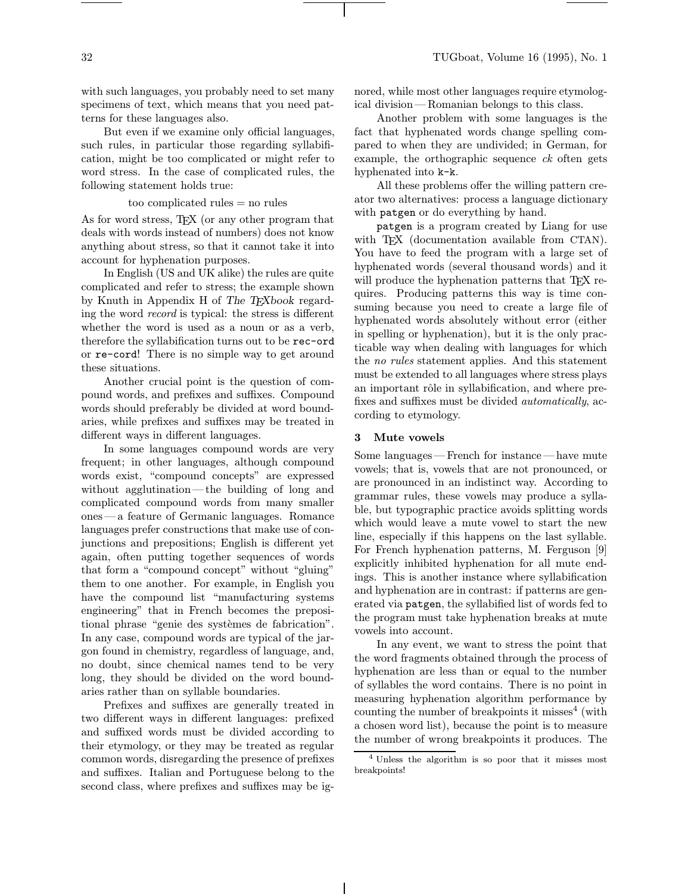with such languages, you probably need to set many specimens of text, which means that you need patterns for these languages also.

But even if we examine only official languages, such rules, in particular those regarding syllabification, might be too complicated or might refer to word stress. In the case of complicated rules, the following statement holds true:

too complicated rules = no rules

As for word stress, T<sub>E</sub>X (or any other program that deals with words instead of numbers) does not know anything about stress, so that it cannot take it into account for hyphenation purposes.

In English (US and UK alike) the rules are quite complicated and refer to stress; the example shown by Knuth in Appendix H of The TEXbook regarding the word record is typical: the stress is different whether the word is used as a noun or as a verb, therefore the syllabification turns out to be rec-ord or re-cord! There is no simple way to get around these situations.

Another crucial point is the question of compound words, and prefixes and suffixes. Compound words should preferably be divided at word boundaries, while prefixes and suffixes may be treated in different ways in different languages.

In some languages compound words are very frequent; in other languages, although compound words exist, "compound concepts" are expressed without agglutination—the building of long and complicated compound words from many smaller ones—a feature of Germanic languages. Romance languages prefer constructions that make use of conjunctions and prepositions; English is different yet again, often putting together sequences of words that form a "compound concept" without "gluing" them to one another. For example, in English you have the compound list "manufacturing systems engineering" that in French becomes the prepositional phrase "genie des systèmes de fabrication". In any case, compound words are typical of the jargon found in chemistry, regardless of language, and, no doubt, since chemical names tend to be very long, they should be divided on the word boundaries rather than on syllable boundaries.

Prefixes and suffixes are generally treated in two different ways in different languages: prefixed and suffixed words must be divided according to their etymology, or they may be treated as regular common words, disregarding the presence of prefixes and suffixes. Italian and Portuguese belong to the second class, where prefixes and suffixes may be ignored, while most other languages require etymological division—Romanian belongs to this class.

Another problem with some languages is the fact that hyphenated words change spelling compared to when they are undivided; in German, for example, the orthographic sequence  $ck$  often gets hyphenated into k-k.

All these problems offer the willing pattern creator two alternatives: process a language dictionary with patgen or do everything by hand.

patgen is a program created by Liang for use with T<sub>EX</sub> (documentation available from CTAN). You have to feed the program with a large set of hyphenated words (several thousand words) and it will produce the hyphenation patterns that TEX requires. Producing patterns this way is time consuming because you need to create a large file of hyphenated words absolutely without error (either in spelling or hyphenation), but it is the only practicable way when dealing with languages for which the no rules statement applies. And this statement must be extended to all languages where stress plays an important rôle in syllabification, and where prefixes and suffixes must be divided automatically, according to etymology.

#### 3 Mute vowels

Some languages—French for instance—have mute vowels; that is, vowels that are not pronounced, or are pronounced in an indistinct way. According to grammar rules, these vowels may produce a syllable, but typographic practice avoids splitting words which would leave a mute vowel to start the new line, especially if this happens on the last syllable. For French hyphenation patterns, M. Ferguson [9] explicitly inhibited hyphenation for all mute endings. This is another instance where syllabification and hyphenation are in contrast: if patterns are generated via patgen, the syllabified list of words fed to the program must take hyphenation breaks at mute vowels into account.

In any event, we want to stress the point that the word fragments obtained through the process of hyphenation are less than or equal to the number of syllables the word contains. There is no point in measuring hyphenation algorithm performance by counting the number of breakpoints it misses<sup>4</sup> (with a chosen word list), because the point is to measure the number of wrong breakpoints it produces. The

<sup>4</sup> Unless the algorithm is so poor that it misses most breakpoints!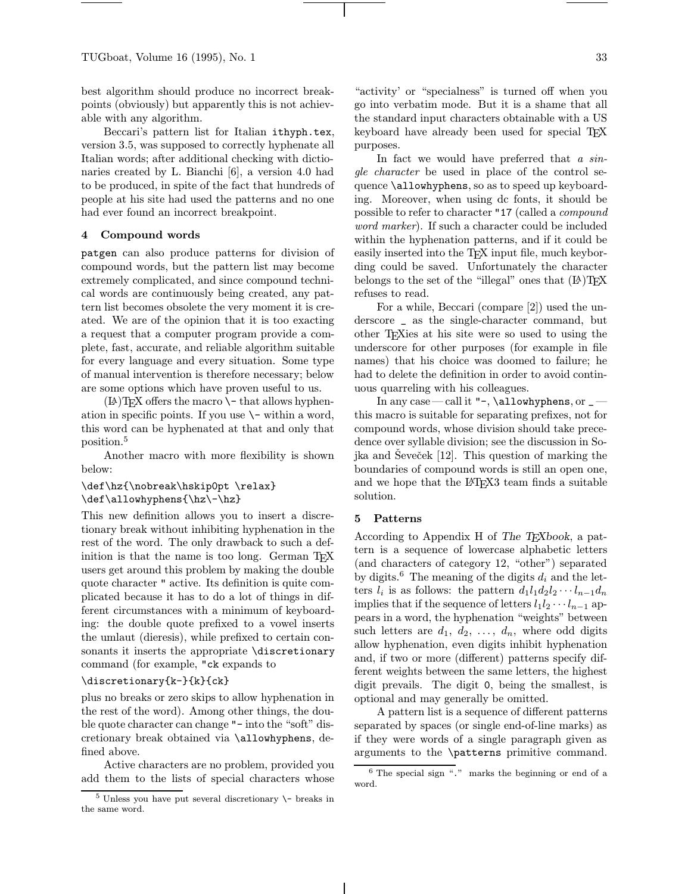best algorithm should produce no incorrect breakpoints (obviously) but apparently this is not achievable with any algorithm.

Beccari's pattern list for Italian ithyph.tex, version 3.5, was supposed to correctly hyphenate all Italian words; after additional checking with dictionaries created by L. Bianchi [6], a version 4.0 had to be produced, in spite of the fact that hundreds of people at his site had used the patterns and no one had ever found an incorrect breakpoint.

### 4 Compound words

patgen can also produce patterns for division of compound words, but the pattern list may become extremely complicated, and since compound technical words are continuously being created, any pattern list becomes obsolete the very moment it is created. We are of the opinion that it is too exacting a request that a computer program provide a complete, fast, accurate, and reliable algorithm suitable for every language and every situation. Some type of manual intervention is therefore necessary; below are some options which have proven useful to us.

 $(L)$ T<sub>E</sub>X offers the macro  $\setminus$ - that allows hyphenation in specific points. If you use  $\setminus$ - within a word, this word can be hyphenated at that and only that position.<sup>5</sup>

Another macro with more flexibility is shown below:

# \def\hz{\nobreak\hskip0pt \relax} \def\allowhyphens{\hz\-\hz}

This new definition allows you to insert a discretionary break without inhibiting hyphenation in the rest of the word. The only drawback to such a definition is that the name is too long. German T<sub>E</sub>X users get around this problem by making the double quote character " active. Its definition is quite complicated because it has to do a lot of things in different circumstances with a minimum of keyboarding: the double quote prefixed to a vowel inserts the umlaut (dieresis), while prefixed to certain consonants it inserts the appropriate \discretionary command (for example, "ck expands to

## \discretionary{k-}{k}{ck}

plus no breaks or zero skips to allow hyphenation in the rest of the word). Among other things, the double quote character can change "- into the "soft" discretionary break obtained via \allowhyphens, defined above.

Active characters are no problem, provided you add them to the lists of special characters whose "activity' or "specialness" is turned off when you go into verbatim mode. But it is a shame that all the standard input characters obtainable with a US keyboard have already been used for special T<sub>EX</sub> purposes.

In fact we would have preferred that a single character be used in place of the control sequence \allowhyphens, so as to speed up keyboarding. Moreover, when using dc fonts, it should be possible to refer to character "17 (called a compound word marker). If such a character could be included within the hyphenation patterns, and if it could be easily inserted into the TFX input file, much keybording could be saved. Unfortunately the character belongs to the set of the "illegal" ones that  $(L)$ TEX refuses to read.

For a while, Beccari (compare [2]) used the underscore \_ as the single-character command, but other TEXies at his site were so used to using the underscore for other purposes (for example in file names) that his choice was doomed to failure; he had to delete the definition in order to avoid continuous quarreling with his colleagues.

In any case—call it "-, \allowhyphens, or \_this macro is suitable for separating prefixes, not for compound words, whose division should take precedence over syllable division; see the discussion in Sojka and Seveček [12]. This question of marking the boundaries of compound words is still an open one, and we hope that the L<sup>AT</sup>FX3 team finds a suitable solution.

#### 5 Patterns

According to Appendix H of The T<sub>E</sub>Xbook, a pattern is a sequence of lowercase alphabetic letters (and characters of category 12, "other") separated by digits.<sup>6</sup> The meaning of the digits  $d_i$  and the letters  $l_i$  is as follows: the pattern  $d_1l_1d_2l_2\cdots l_{n-1}d_n$ implies that if the sequence of letters  $l_1l_2\cdots l_{n-1}$  appears in a word, the hyphenation "weights" between such letters are  $d_1, d_2, \ldots, d_n$ , where odd digits allow hyphenation, even digits inhibit hyphenation and, if two or more (different) patterns specify different weights between the same letters, the highest digit prevails. The digit 0, being the smallest, is optional and may generally be omitted.

A pattern list is a sequence of different patterns separated by spaces (or single end-of-line marks) as if they were words of a single paragraph given as arguments to the \patterns primitive command.

 $5$  Unless you have put several discretionary  $\$ - breaks in the same word.

 $6$  The special sign " $\cdot$ " marks the beginning or end of a word.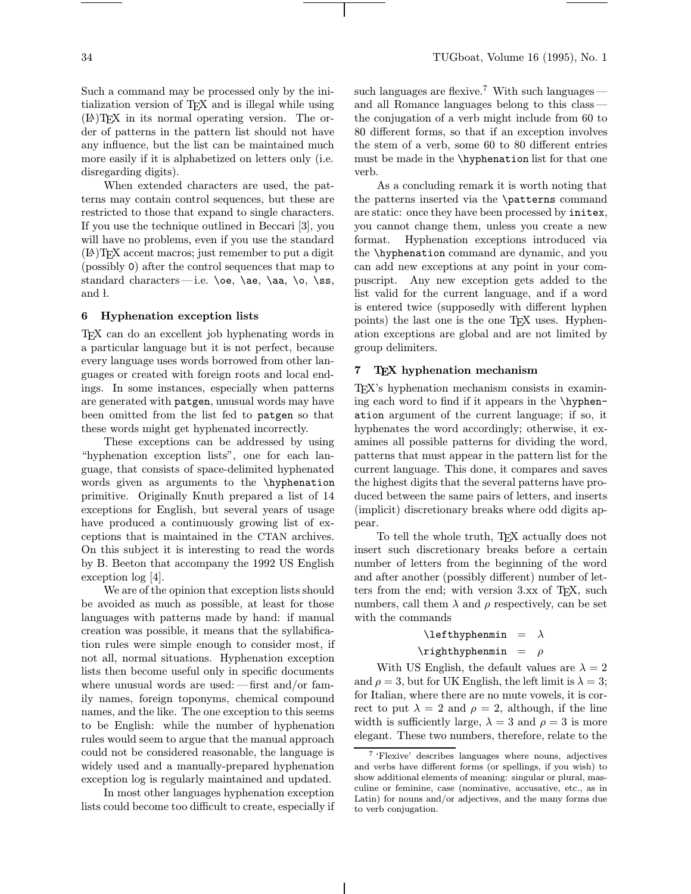When extended characters are used, the patterns may contain control sequences, but these are restricted to those that expand to single characters. If you use the technique outlined in Beccari [3], you will have no problems, even if you use the standard (LA)TEX accent macros; just remember to put a digit (possibly 0) after the control sequences that map to standard characters—i.e. \oe, \ae, \aa, \o, \ss, and l.

## 6 Hyphenation exception lists

TEX can do an excellent job hyphenating words in a particular language but it is not perfect, because every language uses words borrowed from other languages or created with foreign roots and local endings. In some instances, especially when patterns are generated with patgen, unusual words may have been omitted from the list fed to patgen so that these words might get hyphenated incorrectly.

These exceptions can be addressed by using "hyphenation exception lists", one for each language, that consists of space-delimited hyphenated words given as arguments to the \hyphenation primitive. Originally Knuth prepared a list of 14 exceptions for English, but several years of usage have produced a continuously growing list of exceptions that is maintained in the CTAN archives. On this subject it is interesting to read the words by B. Beeton that accompany the 1992 US English exception log [4].

We are of the opinion that exception lists should be avoided as much as possible, at least for those languages with patterns made by hand: if manual creation was possible, it means that the syllabification rules were simple enough to consider most, if not all, normal situations. Hyphenation exception lists then become useful only in specific documents where unusual words are used:—first and/or family names, foreign toponyms, chemical compound names, and the like. The one exception to this seems to be English: while the number of hyphenation rules would seem to argue that the manual approach could not be considered reasonable, the language is widely used and a manually-prepared hyphenation exception log is regularly maintained and updated.

In most other languages hyphenation exception lists could become too difficult to create, especially if such languages are flexive.<sup>7</sup> With such languages and all Romance languages belong to this class the conjugation of a verb might include from 60 to 80 different forms, so that if an exception involves the stem of a verb, some 60 to 80 different entries must be made in the \hyphenation list for that one verb.

As a concluding remark it is worth noting that the patterns inserted via the \patterns command are static: once they have been processed by initex, you cannot change them, unless you create a new format. Hyphenation exceptions introduced via the \hyphenation command are dynamic, and you can add new exceptions at any point in your compuscript. Any new exception gets added to the list valid for the current language, and if a word is entered twice (supposedly with different hyphen points) the last one is the one TEX uses. Hyphenation exceptions are global and are not limited by group delimiters.

### 7 TEX hyphenation mechanism

TEX's hyphenation mechanism consists in examining each word to find if it appears in the \hyphenation argument of the current language; if so, it hyphenates the word accordingly; otherwise, it examines all possible patterns for dividing the word, patterns that must appear in the pattern list for the current language. This done, it compares and saves the highest digits that the several patterns have produced between the same pairs of letters, and inserts (implicit) discretionary breaks where odd digits appear.

To tell the whole truth, TEX actually does not insert such discretionary breaks before a certain number of letters from the beginning of the word and after another (possibly different) number of letters from the end; with version 3.xx of TEX, such numbers, call them  $\lambda$  and  $\rho$  respectively, can be set with the commands

### $\left\{\text{lefthyphenmin} = \lambda\right\}$

### $\rightarrow$   $\alpha$  =  $\rho$

With US English, the default values are  $\lambda = 2$ and  $\rho = 3$ , but for UK English, the left limit is  $\lambda = 3$ ; for Italian, where there are no mute vowels, it is correct to put  $\lambda = 2$  and  $\rho = 2$ , although, if the line width is sufficiently large,  $\lambda = 3$  and  $\rho = 3$  is more elegant. These two numbers, therefore, relate to the

<sup>7</sup> 'Flexive' describes languages where nouns, adjectives and verbs have different forms (or spellings, if you wish) to show additional elements of meaning: singular or plural, masculine or feminine, case (nominative, accusative, etc., as in Latin) for nouns and/or adjectives, and the many forms due to verb conjugation.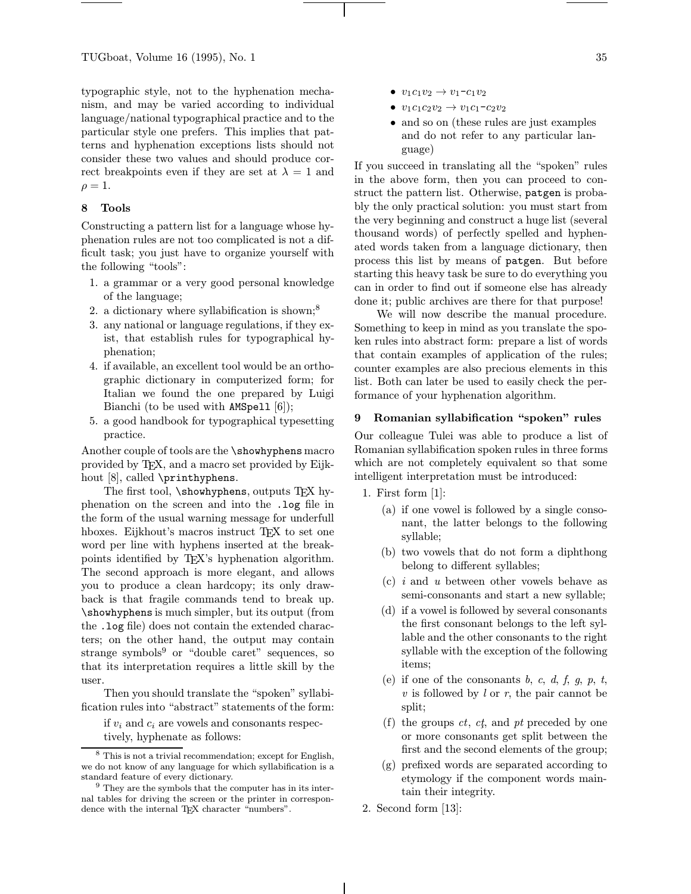typographic style, not to the hyphenation mechanism, and may be varied according to individual language/national typographical practice and to the particular style one prefers. This implies that patterns and hyphenation exceptions lists should not consider these two values and should produce correct breakpoints even if they are set at  $\lambda = 1$  and  $\rho = 1.$ 

# 8 Tools

Constructing a pattern list for a language whose hyphenation rules are not too complicated is not a difficult task; you just have to organize yourself with the following "tools":

- 1. a grammar or a very good personal knowledge of the language;
- 2. a dictionary where syllabification is shown; $^8$
- 3. any national or language regulations, if they exist, that establish rules for typographical hyphenation;
- 4. if available, an excellent tool would be an orthographic dictionary in computerized form; for Italian we found the one prepared by Luigi Bianchi (to be used with AMSpell [6]);
- 5. a good handbook for typographical typesetting practice.

Another couple of tools are the \showhyphens macro provided by TEX, and a macro set provided by Eijkhout [8], called \printhyphens.

The first tool,  $\s$ howhyphens, outputs TFX hyphenation on the screen and into the .log file in the form of the usual warning message for underfull hboxes. Eijkhout's macros instruct T<sub>F</sub>X to set one word per line with hyphens inserted at the breakpoints identified by TEX's hyphenation algorithm. The second approach is more elegant, and allows you to produce a clean hardcopy; its only drawback is that fragile commands tend to break up. \showhyphens is much simpler, but its output (from the .log file) does not contain the extended characters; on the other hand, the output may contain strange symbols $9$  or "double caret" sequences, so that its interpretation requires a little skill by the user.

Then you should translate the "spoken" syllabification rules into "abstract" statements of the form:

if  $v_i$  and  $c_i$  are vowels and consonants respectively, hyphenate as follows:

- $v_1c_1v_2 \to v_1-c_1v_2$
- $v_1c_1c_2v_2 \to v_1c_1-c_2v_2$
- and so on (these rules are just examples and do not refer to any particular language)

If you succeed in translating all the "spoken" rules in the above form, then you can proceed to construct the pattern list. Otherwise, patgen is probably the only practical solution: you must start from the very beginning and construct a huge list (several thousand words) of perfectly spelled and hyphenated words taken from a language dictionary, then process this list by means of patgen. But before starting this heavy task be sure to do everything you can in order to find out if someone else has already done it; public archives are there for that purpose!

We will now describe the manual procedure. Something to keep in mind as you translate the spoken rules into abstract form: prepare a list of words that contain examples of application of the rules; counter examples are also precious elements in this list. Both can later be used to easily check the performance of your hyphenation algorithm.

### 9 Romanian syllabification "spoken" rules

Our colleague Tulei was able to produce a list of Romanian syllabification spoken rules in three forms which are not completely equivalent so that some intelligent interpretation must be introduced:

- 1. First form [1]:
	- (a) if one vowel is followed by a single consonant, the latter belongs to the following syllable;
	- (b) two vowels that do not form a diphthong belong to different syllables;
	- (c) i and u between other vowels behave as semi-consonants and start a new syllable;
	- (d) if a vowel is followed by several consonants the first consonant belongs to the left syllable and the other consonants to the right syllable with the exception of the following items;
	- (e) if one of the consonants  $b, c, d, f, g, p, t$ ,  $v$  is followed by  $l$  or  $r$ , the pair cannot be split;
	- (f) the groups  $ct$ ,  $ct$ , and  $pt$  preceded by one or more consonants get split between the first and the second elements of the group;
	- (g) prefixed words are separated according to etymology if the component words maintain their integrity.
- 2. Second form [13]:

<sup>8</sup> This is not a trivial recommendation; except for English, we do not know of any language for which syllabification is a standard feature of every dictionary.

<sup>&</sup>lt;sup>9</sup> They are the symbols that the computer has in its internal tables for driving the screen or the printer in correspondence with the internal T<sub>E</sub>X character "numbers".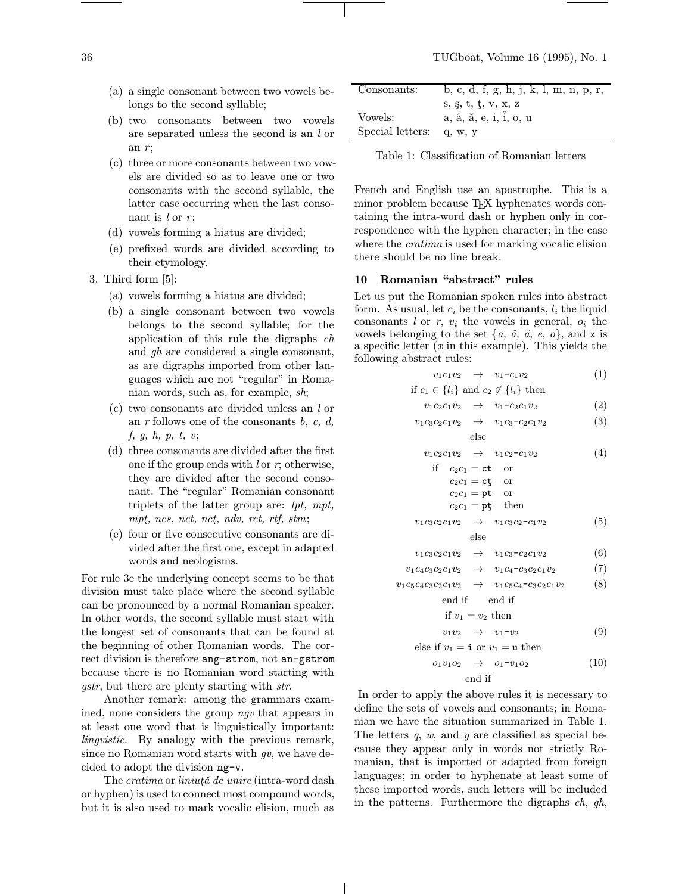- (a) a single consonant between two vowels belongs to the second syllable;
- (b) two consonants between two vowels are separated unless the second is an l or an  $r$ :
- (c) three or more consonants between two vowels are divided so as to leave one or two consonants with the second syllable, the latter case occurring when the last consonant is  $l$  or  $r$ ;
- (d) vowels forming a hiatus are divided;
- (e) prefixed words are divided according to their etymology.
- 3. Third form [5]:
	- (a) vowels forming a hiatus are divided;
	- (b) a single consonant between two vowels belongs to the second syllable; for the application of this rule the digraphs ch and gh are considered a single consonant, as are digraphs imported from other languages which are not "regular" in Romanian words, such as, for example, sh;
	- (c) two consonants are divided unless an l or an  $r$  follows one of the consonants  $b, c, d$ , f, g, h, p, t, v;
	- (d) three consonants are divided after the first one if the group ends with l or  $r$ ; otherwise, they are divided after the second consonant. The "regular" Romanian consonant triplets of the latter group are: lpt, mpt, mpt, ncs, nct, nct, ndv, rct, rtf, stm;
	- (e) four or five consecutive consonants are divided after the first one, except in adapted words and neologisms.

For rule 3e the underlying concept seems to be that division must take place where the second syllable can be pronounced by a normal Romanian speaker. In other words, the second syllable must start with the longest set of consonants that can be found at the beginning of other Romanian words. The correct division is therefore ang-strom, not an-gstrom because there is no Romanian word starting with gstr, but there are plenty starting with str.

Another remark: among the grammars examined, none considers the group ngv that appears in at least one word that is linguistically important: lingvistic. By analogy with the previous remark, since no Romanian word starts with  $qv$ , we have decided to adopt the division ng-v.

The *cratima* or *liniută de unire* (intra-word dash or hyphen) is used to connect most compound words, but it is also used to mark vocalic elision, much as

| Consonants:      | b, c, d, f, g, h, j, k, l, m, n, p, r, |
|------------------|----------------------------------------|
|                  | s, $s, t, t, v, x, z$                  |
| Vowels:          | a, â, ă, e, i, î, o, u                 |
| Special letters: | q, w, y                                |

Table 1: Classification of Romanian letters

French and English use an apostrophe. This is a minor problem because TEX hyphenates words containing the intra-word dash or hyphen only in correspondence with the hyphen character; in the case where the *cratima* is used for marking vocalic elision there should be no line break.

### 10 Romanian "abstract" rules

Let us put the Romanian spoken rules into abstract form. As usual, let  $c_i$  be the consonants,  $l_i$  the liquid consonants l or r,  $v_i$  the vowels in general,  $o_i$  the vowels belonging to the set  $\{a, \hat{a}, \check{a}, e, o\}$ , and x is a specific letter  $(x \text{ in this example})$ . This yields the following abstract rules:

$$
v_1c_1v_2 \rightarrow v_1-c_1v_2 \tag{1}
$$

if 
$$
c_1 \in \{l_i\}
$$
 and  $c_2 \notin \{l_i\}$  then

$$
v_1c_2c_1v_2 \rightarrow v_1-c_2c_1v_2 \qquad (2)
$$

$$
v_1c_3c_2c_1v_2 \rightarrow v_1c_3-c_2c_1v_2 \tag{3}
$$
else

 $v_1c_2c_1v_2 \rightarrow v_1c_2-c_1v_2$  (4)

if 
$$
c_2c_1 = \text{ct}
$$
 or  
\n $c_2c_1 = \text{ct}$  or  
\n $c_2c_1 = \text{pt}$  or

$$
c_2c_1 = \mathbf{p}\mathbf{t}
$$
 then

$$
v_1c_3c_2c_1v_2 \rightarrow v_1c_3c_2-c_1v_2 \tag{5}
$$
else

 $v_1c_3c_2c_1v_2 \rightarrow v_1c_3-c_2c_1v_2$  (6)

$$
v_1c_4c_3c_2c_1v_2 \to v_1c_4-c_3c_2c_1v_2 \tag{7}
$$

 $v_1c_5c_4c_3c_2c_1v_2 \rightarrow v_1c_5c_4-c_3c_2c_1v_2$  (8)

end if end if

if 
$$
v_1 = v_2
$$
 then

 $v_1v_2 \rightarrow v_1-v_2$  (9)

else if 
$$
v_1 = \mathbf{i}
$$
 or  $v_1 = \mathbf{u}$  then

$$
o_1v_1o_2 \rightarrow o_1-v_1o_2 \qquad (10)
$$

end if

In order to apply the above rules it is necessary to define the sets of vowels and consonants; in Romanian we have the situation summarized in Table 1. The letters  $q$ ,  $w$ , and  $y$  are classified as special because they appear only in words not strictly Romanian, that is imported or adapted from foreign languages; in order to hyphenate at least some of these imported words, such letters will be included in the patterns. Furthermore the digraphs  $ch, gh$ ,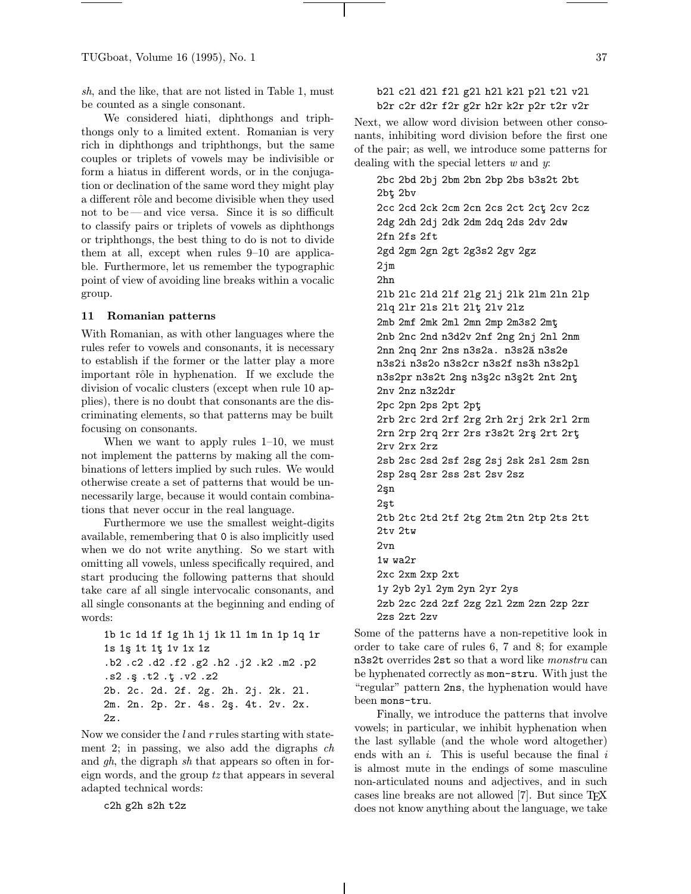sh, and the like, that are not listed in Table 1, must be counted as a single consonant.

We considered hiati, diphthongs and triphthongs only to a limited extent. Romanian is very rich in diphthongs and triphthongs, but the same couples or triplets of vowels may be indivisible or form a hiatus in different words, or in the conjugation or declination of the same word they might play a different rôle and become divisible when they used not to be —and vice versa. Since it is so difficult to classify pairs or triplets of vowels as diphthongs or triphthongs, the best thing to do is not to divide them at all, except when rules 9–10 are applicable. Furthermore, let us remember the typographic point of view of avoiding line breaks within a vocalic group.

### 11 Romanian patterns

With Romanian, as with other languages where the rules refer to vowels and consonants, it is necessary to establish if the former or the latter play a more important rôle in hyphenation. If we exclude the division of vocalic clusters (except when rule 10 applies), there is no doubt that consonants are the discriminating elements, so that patterns may be built focusing on consonants.

When we want to apply rules 1–10, we must not implement the patterns by making all the combinations of letters implied by such rules. We would otherwise create a set of patterns that would be unnecessarily large, because it would contain combinations that never occur in the real language.

Furthermore we use the smallest weight-digits available, remembering that 0 is also implicitly used when we do not write anything. So we start with omitting all vowels, unless specifically required, and start producing the following patterns that should take care af all single intervocalic consonants, and all single consonants at the beginning and ending of words:

```
1b 1c 1d 1f 1g 1h 1j 1k 1l 1m 1n 1p 1q 1r
1s 1¸s 1t 1t¸ 1v 1x 1z
.b2 .c2 .d2 .f2 .g2 .h2 .j2 .k2 .m2 .p2
.s2 .¸s .t2 .t¸ .v2 .z2
2b. 2c. 2d. 2f. 2g. 2h. 2j. 2k. 2l.
2m. 2n. 2p. 2r. 4s. 2ş. 4t. 2v. 2x.
2z.
```
Now we consider the l and r rules starting with statement 2; in passing, we also add the digraphs ch and gh, the digraph sh that appears so often in foreign words, and the group tz that appears in several adapted technical words:

c2h g2h s2h t2z

# b2l c2l d2l f2l g2l h2l k2l p2l t2l v2l b2r c2r d2r f2r g2r h2r k2r p2r t2r v2r

Next, we allow word division between other consonants, inhibiting word division before the first one of the pair; as well, we introduce some patterns for dealing with the special letters  $w$  and  $y$ .

2bc 2bd 2bj 2bm 2bn 2bp 2bs b3s2t 2bt 2bt¸ 2bv 2cc 2cd 2ck 2cm 2cn 2cs 2ct 2ct¸ 2cv 2cz 2dg 2dh 2dj 2dk 2dm 2dq 2ds 2dv 2dw 2fn 2fs 2ft 2gd 2gm 2gn 2gt 2g3s2 2gv 2gz 2jm 2hn 2lb 2lc 2ld 2lf 2lg 2lj 2lk 2lm 2ln 2lp 2lq 2lr 2ls 2lt 2lt¸ 2lv 2lz 2mb 2mf 2mk 2ml 2mn 2mp 2m3s2 2mt¸ 2nb 2nc 2nd n3d2v 2nf 2ng 2nj 2nl 2nm 2nn 2nq 2nr 2ns n3s2a. n3s2a n3s2e n3s2i n3s2o n3s2cr n3s2f ns3h n3s2pl n3s2pr n3s2t 2ns n3s2c n3s2t 2nt 2nt 2nv 2nz n3z2dr 2pc 2pn 2ps 2pt 2pt¸ 2rb 2rc 2rd 2rf 2rg 2rh 2rj 2rk 2rl 2rm 2rn 2rp 2rq 2rr 2rs r3s2t 2r¸s 2rt 2rt¸ 2rv 2rx 2rz 2sb 2sc 2sd 2sf 2sg 2sj 2sk 2sl 2sm 2sn 2sp 2sq 2sr 2ss 2st 2sv 2sz 2¸sn 2¸st 2tb 2tc 2td 2tf 2tg 2tm 2tn 2tp 2ts 2tt 2tv 2tw 2vn 1w wa2r 2xc 2xm 2xp 2xt 1y 2yb 2yl 2ym 2yn 2yr 2ys 2zb 2zc 2zd 2zf 2zg 2zl 2zm 2zn 2zp 2zr 2zs 2zt 2zv

Some of the patterns have a non-repetitive look in order to take care of rules 6, 7 and 8; for example n3s2t overrides 2st so that a word like *monstru* can be hyphenated correctly as mon-stru. With just the "regular" pattern 2ns, the hyphenation would have been mons-tru.

Finally, we introduce the patterns that involve vowels; in particular, we inhibit hyphenation when the last syllable (and the whole word altogether) ends with an  $i$ . This is useful because the final  $i$ is almost mute in the endings of some masculine non-articulated nouns and adjectives, and in such cases line breaks are not allowed [7]. But since TEX does not know anything about the language, we take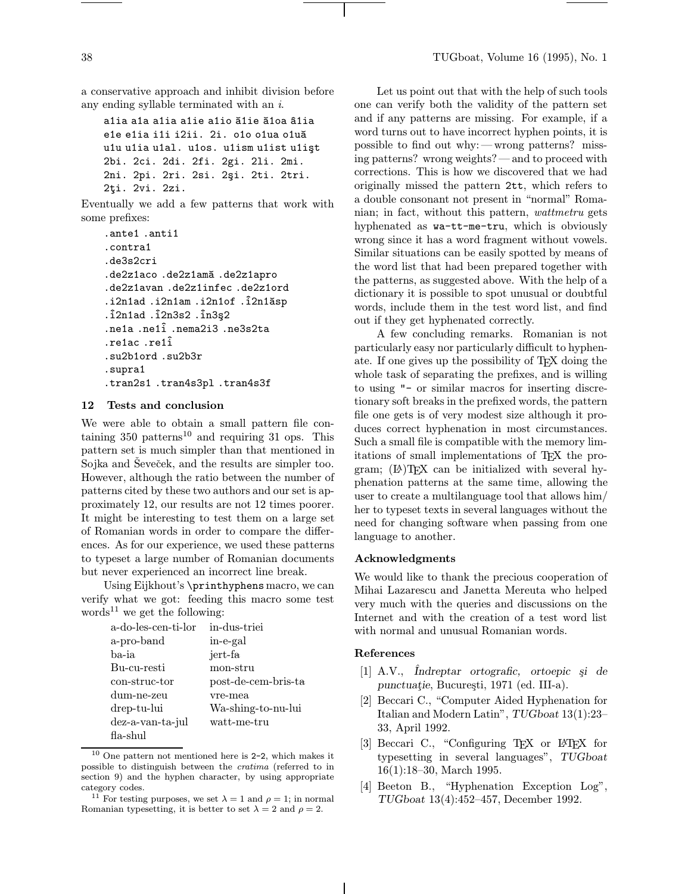a conservative approach and inhibit division before any ending syllable terminated with an i.

```
a1ia a1a a1ia a1ie a1io ă1ie ă1oa â1ia
e1e e1ia i1i i2ii. 2i. o1o o1ua o1uă
u1u u1ia u1al. u1os. u1ism u1ist u1işt
2bi. 2ci. 2di. 2fi. 2gi. 2li. 2mi.
2ni. 2pi. 2ri. 2si. 2si. 2ti. 2tri.
2ţi. 2vi. 2zi.
```
Eventually we add a few patterns that work with some prefixes:

```
.ante1 .anti1
.contra1
.de3s2cri
.de2z1aco.de2z1amă.de2z1apro
.de2z1avan .de2z1infec .de2z1ord
.i2n1ad .i2n1am .i2n1of .i2n1ăsp
.^i2n1ad .^i2n3s2 .^in3¸s2
.ne1a .ne1^i .nema2i3 .ne3s2ta
.re1ac .re1^i
.su2b1ord .su2b3r
.supra1
.tran2s1 .tran4s3pl .tran4s3f
```
# 12 Tests and conclusion

We were able to obtain a small pattern file containing  $350$  patterns<sup>10</sup> and requiring 31 ops. This pattern set is much simpler than that mentioned in Sojka and Ševeček, and the results are simpler too. However, although the ratio between the number of patterns cited by these two authors and our set is approximately 12, our results are not 12 times poorer. It might be interesting to test them on a large set of Romanian words in order to compare the differences. As for our experience, we used these patterns to typeset a large number of Romanian documents but never experienced an incorrect line break.

Using Eijkhout's \printhyphens macro, we can verify what we got: feeding this macro some test words<sup>11</sup> we get the following:

| a-do-les-cen-ti-lor | in-dus-triei        |
|---------------------|---------------------|
| a-pro-band          | in-e-gal            |
| ba-ia               | jert-fa             |
| Bu-cu-resti         | mon-stru            |
| con-struc-tor       | post-de-cem-bris-ta |
| dum-ne-zeu          | vre-mea             |
| drep-tu-lui         | Wa-shing-to-nu-lui  |
| dez-a-van-ta-jul    | watt-me-tru         |
| $fa$ -shul          |                     |

 $10$  One pattern not mentioned here is 2-2, which makes it possible to distinguish between the cratima (referred to in section 9) and the hyphen character, by using appropriate category codes.

Let us point out that with the help of such tools one can verify both the validity of the pattern set and if any patterns are missing. For example, if a word turns out to have incorrect hyphen points, it is possible to find out why:—wrong patterns? missing patterns? wrong weights?—and to proceed with corrections. This is how we discovered that we had originally missed the pattern 2tt, which refers to a double consonant not present in "normal" Romanian; in fact, without this pattern, wattmetru gets hyphenated as wa-tt-me-tru, which is obviously wrong since it has a word fragment without vowels. Similar situations can be easily spotted by means of the word list that had been prepared together with the patterns, as suggested above. With the help of a dictionary it is possible to spot unusual or doubtful words, include them in the test word list, and find out if they get hyphenated correctly.

A few concluding remarks. Romanian is not particularly easy nor particularly difficult to hyphenate. If one gives up the possibility of TEX doing the whole task of separating the prefixes, and is willing to using "- or similar macros for inserting discretionary soft breaks in the prefixed words, the pattern file one gets is of very modest size although it produces correct hyphenation in most circumstances. Such a small file is compatible with the memory limitations of small implementations of TEX the program;  $(E)$ TFX can be initialized with several hyphenation patterns at the same time, allowing the user to create a multilanguage tool that allows him/ her to typeset texts in several languages without the need for changing software when passing from one language to another.

#### Acknowledgments

We would like to thank the precious cooperation of Mihai Lazarescu and Janetta Mereuta who helped very much with the queries and discussions on the Internet and with the creation of a test word list with normal and unusual Romanian words.

### References

- [1] A.V., *Indreptar ortografic*, *ortoepic si de* punctuatie, București, 1971 (ed. III-a).
- [2] Beccari C., "Computer Aided Hyphenation for Italian and Modern Latin", TUGboat 13(1):23– 33, April 1992.
- [3] Beccari C., "Configuring T<sub>F</sub>X or L<sup>AT</sup>F<sub>X</sub> for typesetting in several languages", TUGboat 16(1):18–30, March 1995.
- [4] Beeton B., "Hyphenation Exception Log", TUGboat 13(4):452–457, December 1992.

<sup>&</sup>lt;sup>11</sup> For testing purposes, we set  $\lambda = 1$  and  $\rho = 1$ ; in normal Romanian typesetting, it is better to set  $\lambda = 2$  and  $\rho = 2$ .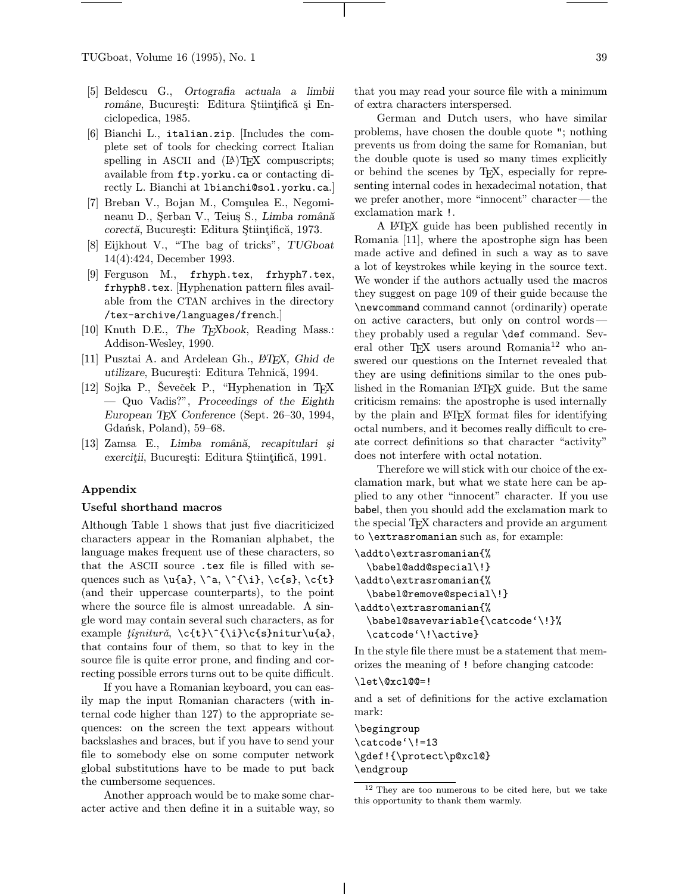TUGboat, Volume 16 (1995), No. 1 39

- [5] Beldescu G., Ortografia actuala a limbii române, București: Editura Științifică și Enciclopedica, 1985.
- [6] Bianchi L., italian.zip. [Includes the complete set of tools for checking correct Italian spelling in ASCII and  $(E)$ TEX compuscripts; available from ftp.yorku.ca or contacting directly L. Bianchi at lbianchi@sol.yorku.ca.]
- [7] Breban V., Bojan M., Comșulea E., Negomineanu D., Şerban V., Teiuş S., Limba română corectă, București: Editura Științifică, 1973.
- [8] Eijkhout V., "The bag of tricks", TUGboat 14(4):424, December 1993.
- [9] Ferguson M., frhyph.tex, frhyph7.tex, frhyph8.tex. [Hyphenation pattern files available from the CTAN archives in the directory /tex-archive/languages/french.]
- [10] Knuth D.E., The T<sub>E</sub>Xbook, Reading Mass.: Addison-Wesley, 1990.
- [11] Pusztai A. and Ardelean Gh.,  $\cancel{B T} \cancel{F} X$ , Ghid de utilizare, București: Editura Tehnică, 1994.
- [12] Sojka P., Ševeček P., "Hyphenation in TFX — Quo Vadis?", Proceedings of the Eighth European TEX Conference (Sept. 26–30, 1994, Gdańsk, Poland), 59–68.
- [13] Zamsa E., Limba română, recapitulari și exerciții, București: Editura Științifică, 1991.

### Appendix

#### Useful shorthand macros

Although Table 1 shows that just five diacriticized characters appear in the Romanian alphabet, the language makes frequent use of these characters, so that the ASCII source .tex file is filled with sequences such as  $\u{a}, \^a, \^{\iota}, \c{s}, \c{t}$ (and their uppercase counterparts), to the point where the source file is almost unreadable. A single word may contain several such characters, as for example  $\hat{t}\hat{s}$ nitur $\hat{a}$ ,  $\c{t}\hat{\i}$ (i}\c{s}nitur $\u{a}$ , that contains four of them, so that to key in the source file is quite error prone, and finding and correcting possible errors turns out to be quite difficult.

If you have a Romanian keyboard, you can easily map the input Romanian characters (with internal code higher than 127) to the appropriate sequences: on the screen the text appears without backslashes and braces, but if you have to send your file to somebody else on some computer network global substitutions have to be made to put back the cumbersome sequences.

Another approach would be to make some character active and then define it in a suitable way, so that you may read your source file with a minimum of extra characters interspersed.

German and Dutch users, who have similar problems, have chosen the double quote "; nothing prevents us from doing the same for Romanian, but the double quote is used so many times explicitly or behind the scenes by TEX, especially for representing internal codes in hexadecimal notation, that we prefer another, more "innocent" character—the exclamation mark !.

A LATEX guide has been published recently in Romania [11], where the apostrophe sign has been made active and defined in such a way as to save a lot of keystrokes while keying in the source text. We wonder if the authors actually used the macros they suggest on page 109 of their guide because the \newcommand command cannot (ordinarily) operate on active caracters, but only on control words they probably used a regular \def command. Several other T<sub>EX</sub> users around Romania<sup>12</sup> who answered our questions on the Internet revealed that they are using definitions similar to the ones published in the Romanian LATEX guide. But the same criticism remains: the apostrophe is used internally by the plain and LATEX format files for identifying octal numbers, and it becomes really difficult to create correct definitions so that character "activity" does not interfere with octal notation.

Therefore we will stick with our choice of the exclamation mark, but what we state here can be applied to any other "innocent" character. If you use babel, then you should add the exclamation mark to the special T<sub>E</sub>X characters and provide an argument to \extrasromanian such as, for example:

```
\addto\extrasromanian{%
  \babel@add@special\!}
\addto\extrasromanian{%
  \babel@remove@special\!}
\addto\extrasromanian{%
  \babel@savevariable{\catcode'\!}%
  \catcode'\!\active}
```
In the style file there must be a statement that memorizes the meaning of ! before changing catcode:

#### \let\@xcl@@=!

and a set of definitions for the active exclamation mark:

\begingroup \catcode'\!=13 \gdef!{\protect\p@xcl@} \endgroup

<sup>12</sup> They are too numerous to be cited here, but we take this opportunity to thank them warmly.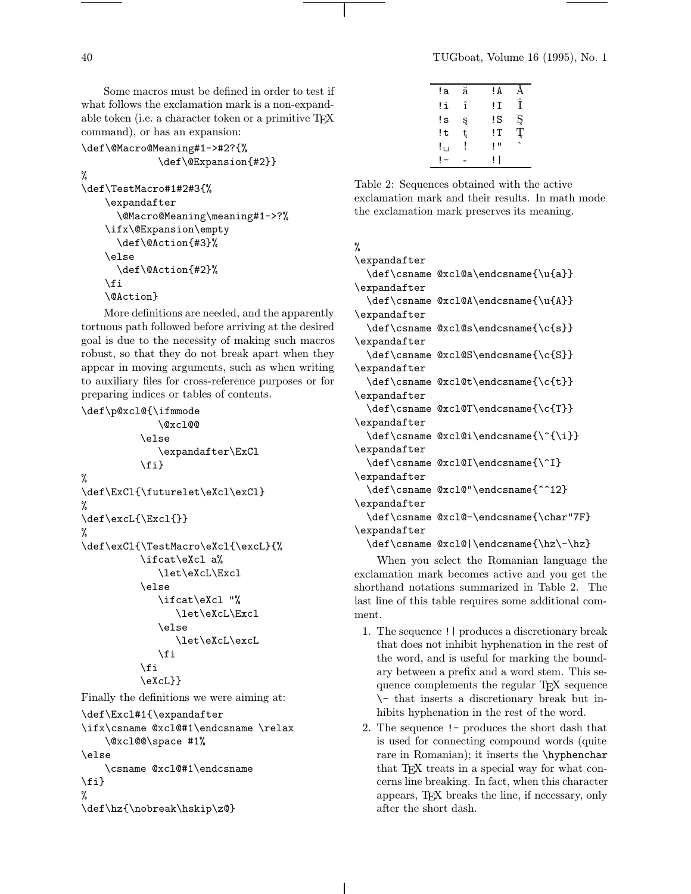Some macros must be defined in order to test if what follows the exclamation mark is a non-expandable token (i.e. a character token or a primitive T<sub>E</sub>X command), or has an expansion:

```
\def\@Macro@Meaning#1->#2?{%
             \def\@Expansion{#2}}
%
\def\TestMacro#1#2#3{%
    \expandafter
      \@Macro@Meaning\meaning#1->?%
    \ifx\@Expansion\empty
      \def\@Action{#3}%
    \else
      \def\@Action{#2}%
    \fi
    \@Action}
```
More definitions are needed, and the apparently tortuous path followed before arriving at the desired goal is due to the necessity of making such macros robust, so that they do not break apart when they appear in moving arguments, such as when writing to auxiliary files for cross-reference purposes or for preparing indices or tables of contents.

```
\def\p@xcl@{\ifmmode
             \@xcl@@
          \else
              \expandafter\ExCl
          \fi}
%
\def\ExCl{\futurelet\eXcl\exCl}
%
\def\excL{\Excl{}}
%
\def\exCl{\TestMacro\eXcl{\excL}{%
          \ifcat\eXcl a%
              \let\eXcL\Excl
          \else
             \ifcat\eXcl "%
                 \let\eXcL\Excl
              \else
                 \let\eXcL\excL
              \fi
          \fi
          \eXcL}}
Finally the definitions we were aiming at:
\def\Excl#1{\expandafter
\ifx\csname @xcl@#1\endcsname \relax
    \@xcl@@\space #1%
\else
    \csname @xcl@#1\endcsname
\fi}
%
\def\hz{\nobreak\hskip\z@}
```

| !a  | ă | ! A |               |
|-----|---|-----|---------------|
| !i  | î | !Ι  | Î             |
| !s  | ş | !S  | $rac{S}{T}$   |
| !t  | ţ | !T  | ′‡            |
| ! ⊔ | I | ŢΠ  | $\vec{\cdot}$ |
|     |   | ı   |               |
|     |   |     |               |

Table 2: Sequences obtained with the active exclamation mark and their results. In math mode the exclamation mark preserves its meaning.

# %

\expandafter \def\csname @xcl@a\endcsname{\u{a}} \expandafter \def\csname @xcl@A\endcsname{\u{A}} \expandafter \def\csname @xcl@s\endcsname{\c{s}} \expandafter \def\csname @xcl@S\endcsname{\c{S}} \expandafter \def\csname @xcl@t\endcsname{\c{t}} \expandafter \def\csname @xcl@T\endcsname{\c{T}} \expandafter \def\csname @xcl@i\endcsname{\^{\i}} \expandafter \def\csname @xcl@I\endcsname{\^I} \expandafter \def\csname @xcl@"\endcsname{^^12} \expandafter \def\csname @xcl@-\endcsname{\char"7F} \expandafter \def\csname @xcl@|\endcsname{\hz\-\hz}

When you select the Romanian language the exclamation mark becomes active and you get the shorthand notations summarized in Table 2. The last line of this table requires some additional comment.

- 1. The sequence !| produces a discretionary break that does not inhibit hyphenation in the rest of the word, and is useful for marking the boundary between a prefix and a word stem. This sequence complements the regular TEX sequence \- that inserts a discretionary break but inhibits hyphenation in the rest of the word.
- 2. The sequence !- produces the short dash that is used for connecting compound words (quite rare in Romanian); it inserts the \hyphenchar that TFX treats in a special way for what concerns line breaking. In fact, when this character appears, TEX breaks the line, if necessary, only after the short dash.